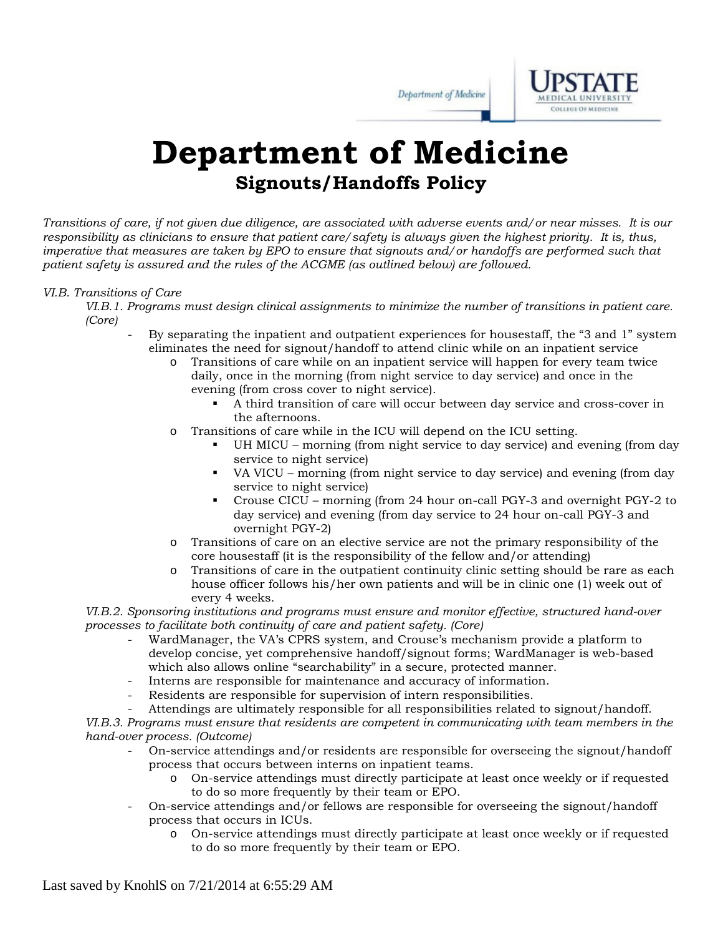Department of Medicine



## **Department of Medicine Signouts/Handoffs Policy**

*Transitions of care, if not given due diligence, are associated with adverse events and/or near misses. It is our responsibility as clinicians to ensure that patient care/safety is always given the highest priority. It is, thus, imperative that measures are taken by EPO to ensure that signouts and/or handoffs are performed such that patient safety is assured and the rules of the ACGME (as outlined below) are followed.*

## *VI.B. Transitions of Care*

- *VI.B.1. Programs must design clinical assignments to minimize the number of transitions in patient care. (Core)* 
	- By separating the inpatient and outpatient experiences for housestaff, the "3 and 1" system eliminates the need for signout/handoff to attend clinic while on an inpatient service
		- o Transitions of care while on an inpatient service will happen for every team twice daily, once in the morning (from night service to day service) and once in the evening (from cross cover to night service).
			- A third transition of care will occur between day service and cross-cover in the afternoons.
		- o Transitions of care while in the ICU will depend on the ICU setting.
			- UH MICU morning (from night service to day service) and evening (from day service to night service)
			- VA VICU morning (from night service to day service) and evening (from day service to night service)
			- Crouse CICU morning (from 24 hour on-call PGY-3 and overnight PGY-2 to day service) and evening (from day service to 24 hour on-call PGY-3 and overnight PGY-2)
		- o Transitions of care on an elective service are not the primary responsibility of the core housestaff (it is the responsibility of the fellow and/or attending)
		- o Transitions of care in the outpatient continuity clinic setting should be rare as each house officer follows his/her own patients and will be in clinic one (1) week out of every 4 weeks.

*VI.B.2. Sponsoring institutions and programs must ensure and monitor effective, structured hand-over processes to facilitate both continuity of care and patient safety. (Core)* 

- WardManager, the VA's CPRS system, and Crouse's mechanism provide a platform to develop concise, yet comprehensive handoff/signout forms; WardManager is web-based which also allows online "searchability" in a secure, protected manner.
- Interns are responsible for maintenance and accuracy of information.
- Residents are responsible for supervision of intern responsibilities.
- Attendings are ultimately responsible for all responsibilities related to signout/handoff.

*VI.B.3. Programs must ensure that residents are competent in communicating with team members in the hand-over process. (Outcome)* 

- On-service attendings and/or residents are responsible for overseeing the signout/handoff process that occurs between interns on inpatient teams.
	- o On-service attendings must directly participate at least once weekly or if requested to do so more frequently by their team or EPO.
- On-service attendings and/or fellows are responsible for overseeing the signout/handoff process that occurs in ICUs.
	- o On-service attendings must directly participate at least once weekly or if requested to do so more frequently by their team or EPO.